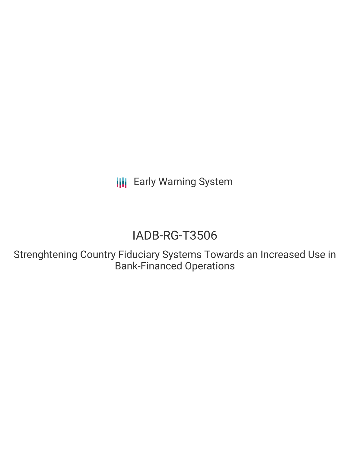**III** Early Warning System

# IADB-RG-T3506

Strenghtening Country Fiduciary Systems Towards an Increased Use in Bank-Financed Operations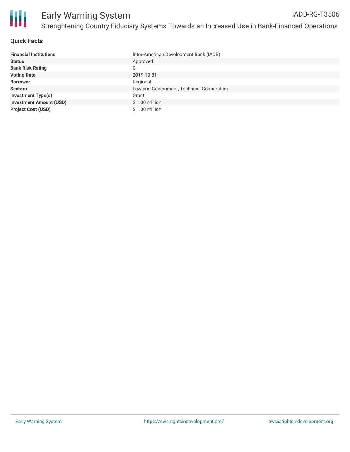

#### **Quick Facts**

| <b>Financial Institutions</b>  | Inter-American Development Bank (IADB)    |
|--------------------------------|-------------------------------------------|
| <b>Status</b>                  | Approved                                  |
| <b>Bank Risk Rating</b>        | C                                         |
| <b>Voting Date</b>             | 2019-10-31                                |
| <b>Borrower</b>                | Regional                                  |
| <b>Sectors</b>                 | Law and Government, Technical Cooperation |
| <b>Investment Type(s)</b>      | Grant                                     |
| <b>Investment Amount (USD)</b> | $$1.00$ million                           |
| <b>Project Cost (USD)</b>      | \$1.00 million                            |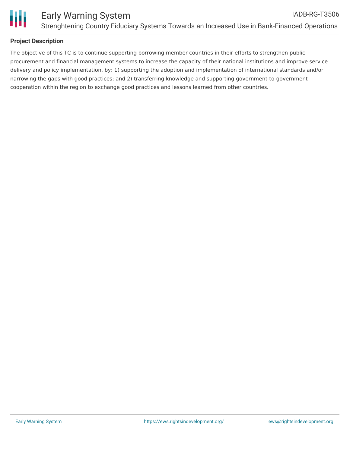

## **Project Description**

The objective of this TC is to continue supporting borrowing member countries in their efforts to strengthen public procurement and financial management systems to increase the capacity of their national institutions and improve service delivery and policy implementation, by: 1) supporting the adoption and implementation of international standards and/or narrowing the gaps with good practices; and 2) transferring knowledge and supporting government-to-government cooperation within the region to exchange good practices and lessons learned from other countries.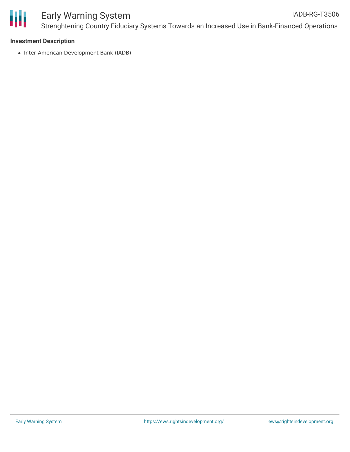

#### **Investment Description**

• Inter-American Development Bank (IADB)